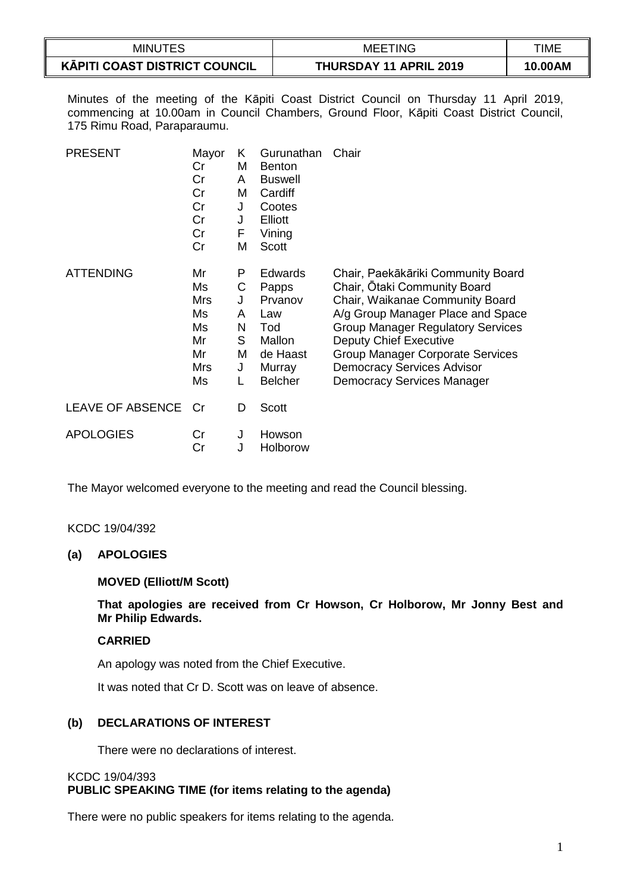| <b>MINUTES</b>                | <b>TING</b><br>MEE.           | TIME    |
|-------------------------------|-------------------------------|---------|
| KĀPITI COAST DISTRICT COUNCIL | <b>THURSDAY 11 APRIL 2019</b> | 10.00AM |

Minutes of the meeting of the Kāpiti Coast District Council on Thursday 11 April 2019, commencing at 10.00am in Council Chambers, Ground Floor, Kāpiti Coast District Council, 175 Rimu Road, Paraparaumu.

| <b>PRESENT</b>          | Mayor<br>Cr<br>Cr<br>Cr<br>Cr<br>Cr<br>Cr<br>Cr             | K<br>M<br>A<br>M<br>J<br>J<br>F<br>M      | Gurunathan<br><b>Benton</b><br><b>Buswell</b><br>Cardiff<br>Cootes<br>Elliott<br>Vining<br><b>Scott</b> | Chair                                                                                                                                                                                                                                                                                                                   |
|-------------------------|-------------------------------------------------------------|-------------------------------------------|---------------------------------------------------------------------------------------------------------|-------------------------------------------------------------------------------------------------------------------------------------------------------------------------------------------------------------------------------------------------------------------------------------------------------------------------|
| <b>ATTENDING</b>        | Mr<br>Ms<br><b>Mrs</b><br>Ms<br>Ms<br>Mr<br>Mr<br>Mrs<br>Ms | P<br>С<br>J<br>A<br>N<br>S<br>Μ<br>J<br>L | <b>Edwards</b><br>Papps<br>Prvanov<br>Law<br>Tod<br>Mallon<br>de Haast<br>Murray<br><b>Belcher</b>      | Chair, Paekākāriki Community Board<br>Chair, Otaki Community Board<br>Chair, Waikanae Community Board<br>A/g Group Manager Place and Space<br><b>Group Manager Regulatory Services</b><br>Deputy Chief Executive<br>Group Manager Corporate Services<br><b>Democracy Services Advisor</b><br>Democracy Services Manager |
| <b>LEAVE OF ABSENCE</b> | Cr                                                          | D                                         | <b>Scott</b>                                                                                            |                                                                                                                                                                                                                                                                                                                         |
| <b>APOLOGIES</b>        | Cr<br>Cr                                                    | J<br>J                                    | Howson<br>Holborow                                                                                      |                                                                                                                                                                                                                                                                                                                         |

The Mayor welcomed everyone to the meeting and read the Council blessing.

#### KCDC 19/04/392

#### **(a) APOLOGIES**

#### **MOVED (Elliott/M Scott)**

**That apologies are received from Cr Howson, Cr Holborow, Mr Jonny Best and Mr Philip Edwards.**

#### **CARRIED**

An apology was noted from the Chief Executive.

It was noted that Cr D. Scott was on leave of absence.

# **(b) DECLARATIONS OF INTEREST**

There were no declarations of interest.

#### KCDC 19/04/393 **PUBLIC SPEAKING TIME (for items relating to the agenda)**

There were no public speakers for items relating to the agenda.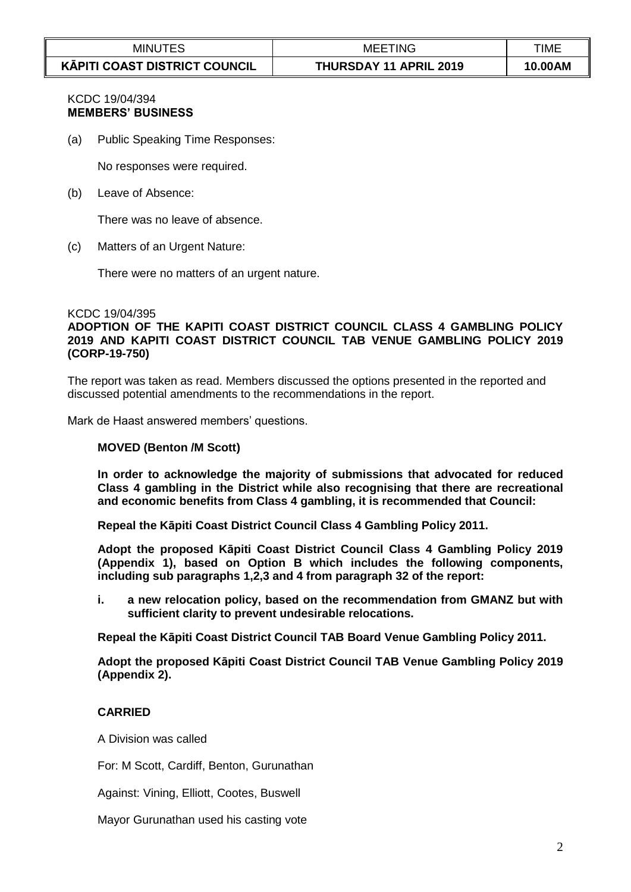| <b>MINUTES</b>                                 | <b>MEETING</b>                | TIME    |
|------------------------------------------------|-------------------------------|---------|
| $\sim$<br><b>KĀPITI COAST DISTRICT COUNCIL</b> | <b>THURSDAY 11 APRIL 2019</b> | 10.00AM |

# KCDC 19/04/394 **MEMBERS' BUSINESS**

(a) Public Speaking Time Responses:

No responses were required.

(b) Leave of Absence:

There was no leave of absence.

(c) Matters of an Urgent Nature:

There were no matters of an urgent nature.

#### KCDC 19/04/395

**ADOPTION OF THE KAPITI COAST DISTRICT COUNCIL CLASS 4 GAMBLING POLICY 2019 AND KAPITI COAST DISTRICT COUNCIL TAB VENUE GAMBLING POLICY 2019 (CORP-19-750)**

The report was taken as read. Members discussed the options presented in the reported and discussed potential amendments to the recommendations in the report.

Mark de Haast answered members' questions.

#### **MOVED (Benton /M Scott)**

**In order to acknowledge the majority of submissions that advocated for reduced Class 4 gambling in the District while also recognising that there are recreational and economic benefits from Class 4 gambling, it is recommended that Council:** 

**Repeal the Kāpiti Coast District Council Class 4 Gambling Policy 2011.** 

**Adopt the proposed Kāpiti Coast District Council Class 4 Gambling Policy 2019 (Appendix 1), based on Option B which includes the following components, including sub paragraphs 1,2,3 and 4 from paragraph 32 of the report:**

**i. a new relocation policy, based on the recommendation from GMANZ but with sufficient clarity to prevent undesirable relocations.**

**Repeal the Kāpiti Coast District Council TAB Board Venue Gambling Policy 2011.**

**Adopt the proposed Kāpiti Coast District Council TAB Venue Gambling Policy 2019 (Appendix 2).**

## **CARRIED**

A Division was called

For: M Scott, Cardiff, Benton, Gurunathan

Against: Vining, Elliott, Cootes, Buswell

Mayor Gurunathan used his casting vote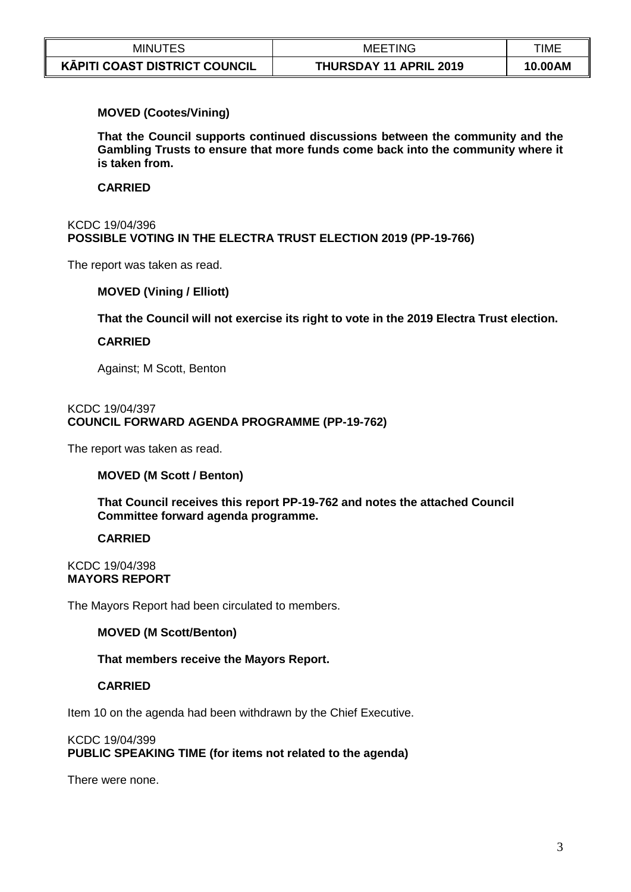| MINL                                 | TING<br>MEE.                  | <b>TIME</b> |
|--------------------------------------|-------------------------------|-------------|
| <b>KĀPITI COAST DISTRICT COUNCIL</b> | <b>THURSDAY 11 APRIL 2019</b> | 10.00AM     |

## **MOVED (Cootes/Vining)**

**That the Council supports continued discussions between the community and the Gambling Trusts to ensure that more funds come back into the community where it is taken from.**

## **CARRIED**

#### KCDC 19/04/396 **POSSIBLE VOTING IN THE ELECTRA TRUST ELECTION 2019 (PP-19-766)**

The report was taken as read.

## **MOVED (Vining / Elliott)**

**That the Council will not exercise its right to vote in the 2019 Electra Trust election.** 

## **CARRIED**

Against; M Scott, Benton

#### KCDC 19/04/397 **COUNCIL FORWARD AGENDA PROGRAMME (PP-19-762)**

The report was taken as read.

## **MOVED (M Scott / Benton)**

**That Council receives this report PP-19-762 and notes the attached Council Committee forward agenda programme.**

## **CARRIED**

KCDC 19/04/398 **MAYORS REPORT**

The Mayors Report had been circulated to members.

## **MOVED (M Scott/Benton)**

**That members receive the Mayors Report.**

## **CARRIED**

Item 10 on the agenda had been withdrawn by the Chief Executive.

## KCDC 19/04/399 **PUBLIC SPEAKING TIME (for items not related to the agenda)**

There were none.